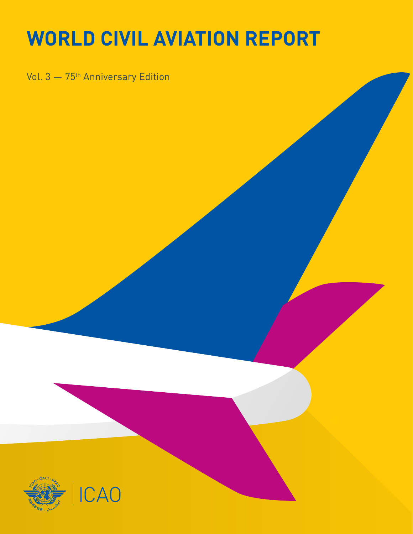## **WORLD CIVIL AVIATION REPORT**

Vol. 3 - 75<sup>th</sup> Anniversary Edition

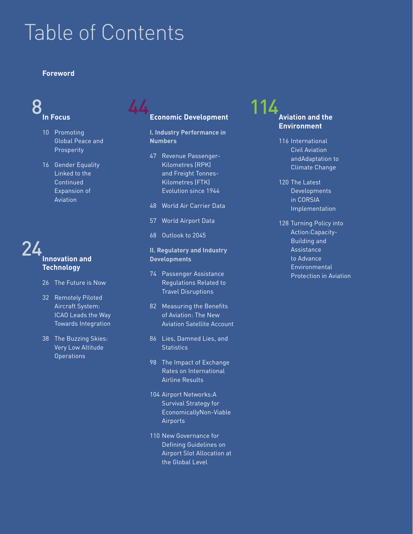## Table of Contents

#### **Foreword**

## **In Focus**

- 10 Promoting Global Peace and **Prosperity**
- 16 Gender Equality Linked to the Continued Expansion of Aviation

### 24 **Innovation and Technology**

- 26 The Future is Now
- 32 Remotely Piloted Aircraft System: ICAO Leads the Way Towards Integration
- 38 The Buzzing Skies: Very Low Altitude **Operations**

### 8 44 114 **Economic Development**

**I. Industry Performance in Numbers**

- 47 Revenue Passenger-Kilometres (RPK) and Freight Tonnes-Kilometres (FTK) Evolution since 1944
- 48 World Air Carrier Data
- 57 World Airport Data
- 68 Outlook to 2045

#### **II. Regulatory and Industry Developments**

- 74 Passenger Assistance Regulations Related to Travel Disruptions
- 82 Measuring the Benefits of Aviation: The New Aviation Satellite Account
- 86 Lies, Damned Lies, and **Statistics**
- 98 The Impact of Exchange Rates on International Airline Results
- 104 Airport Networks:A Survival Strategy for EconomicallyNon-Viable Airports
- 110 New Governance for Defining Guidelines on Airport Slot Allocation at the Global Level

### **Aviation and the Environment**

- 116 International Civil Aviation andAdaptation to Climate Change
- 120 The Latest Developments in CORSIA Implementation
- 128 Turning Policy into Action:Capacity-Building and Assistance to Advance Environmental Protection in Aviation